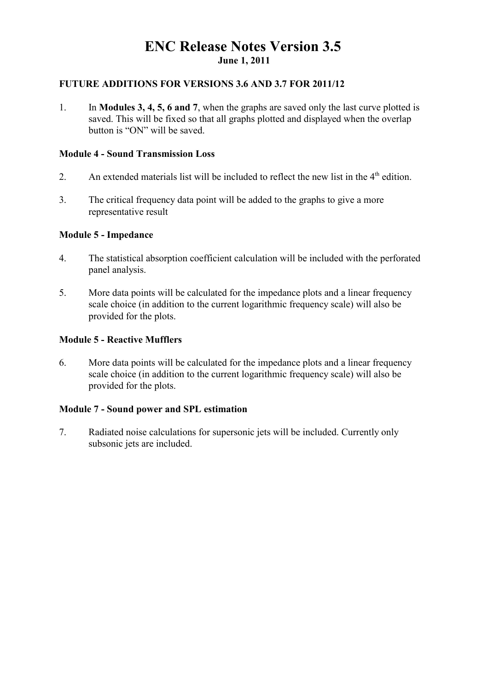# **ENC Release Notes Version 3.5 June 1, 2011**

#### **FUTURE ADDITIONS FOR VERSIONS 3.6 AND 3.7 FOR 2011/12**

1. In **Modules 3, 4, 5, 6 and 7**, when the graphs are saved only the last curve plotted is saved. This will be fixed so that all graphs plotted and displayed when the overlap button is "ON" will be saved.

#### **Module 4 - Sound Transmission Loss**

- 2. An extended materials list will be included to reflect the new list in the  $4<sup>th</sup>$  edition.
- 3. The critical frequency data point will be added to the graphs to give a more representative result

#### **Module 5 - Impedance**

- 4. The statistical absorption coefficient calculation will be included with the perforated panel analysis.
- 5. More data points will be calculated for the impedance plots and a linear frequency scale choice (in addition to the current logarithmic frequency scale) will also be provided for the plots.

#### **Module 5 - Reactive Mufflers**

6. More data points will be calculated for the impedance plots and a linear frequency scale choice (in addition to the current logarithmic frequency scale) will also be provided for the plots.

# **Module 7 - Sound power and SPL estimation**

7. Radiated noise calculations for supersonic jets will be included. Currently only subsonic jets are included.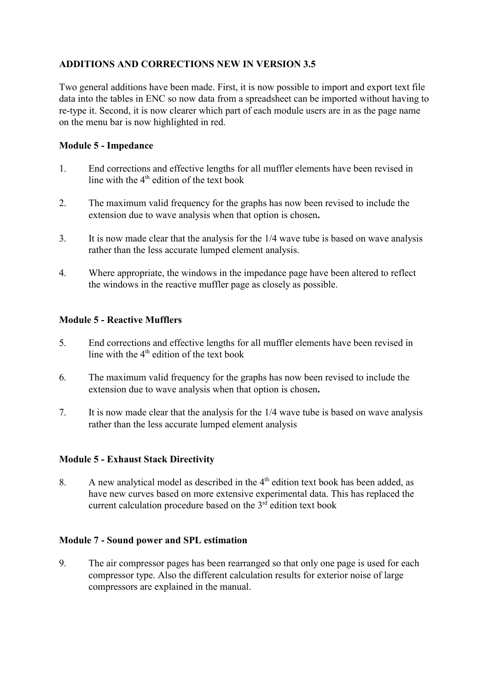# **ADDITIONS AND CORRECTIONS NEW IN VERSION 3.5**

Two general additions have been made. First, it is now possible to import and export text file data into the tables in ENC so now data from a spreadsheet can be imported without having to re-type it. Second, it is now clearer which part of each module users are in as the page name on the menu bar is now highlighted in red.

# **Module 5 - Impedance**

- 1. End corrections and effective lengths for all muffler elements have been revised in line with the  $4<sup>th</sup>$  edition of the text book
- 2. The maximum valid frequency for the graphs has now been revised to include the extension due to wave analysis when that option is chosen**.**
- 3. It is now made clear that the analysis for the 1/4 wave tube is based on wave analysis rather than the less accurate lumped element analysis.
- 4. Where appropriate, the windows in the impedance page have been altered to reflect the windows in the reactive muffler page as closely as possible.

# **Module 5 - Reactive Mufflers**

- 5. End corrections and effective lengths for all muffler elements have been revised in line with the  $4<sup>th</sup>$  edition of the text book
- 6. The maximum valid frequency for the graphs has now been revised to include the extension due to wave analysis when that option is chosen**.**
- 7. It is now made clear that the analysis for the 1/4 wave tube is based on wave analysis rather than the less accurate lumped element analysis

# **Module 5 - Exhaust Stack Directivity**

8. A new analytical model as described in the  $4<sup>th</sup>$  edition text book has been added, as have new curves based on more extensive experimental data. This has replaced the current calculation procedure based on the  $3<sup>rd</sup>$  edition text book

# **Module 7 - Sound power and SPL estimation**

9. The air compressor pages has been rearranged so that only one page is used for each compressor type. Also the different calculation results for exterior noise of large compressors are explained in the manual.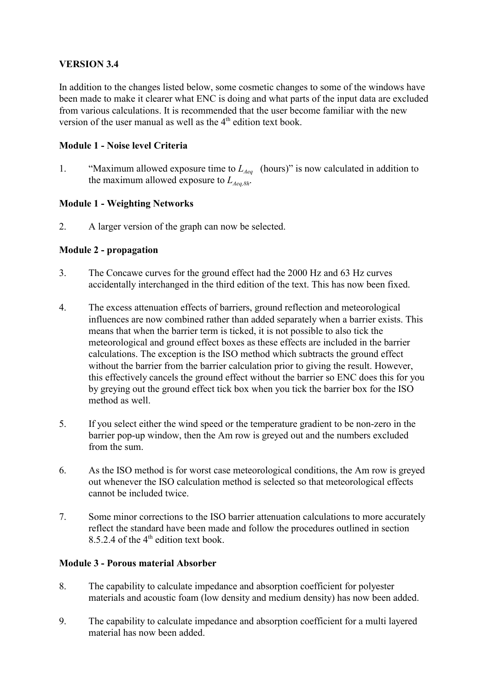# **VERSION 3.4**

In addition to the changes listed below, some cosmetic changes to some of the windows have been made to make it clearer what ENC is doing and what parts of the input data are excluded from various calculations. It is recommended that the user become familiar with the new version of the user manual as well as the  $4<sup>th</sup>$  edition text book.

# **Module 1 - Noise level Criteria**

1. "Maximum allowed exposure time to  $L_{Aea}$  (hours)" is now calculated in addition to the maximum allowed exposure to  $L_{\text{Aeg-Rh}}$ .

# **Module 1 - Weighting Networks**

2. A larger version of the graph can now be selected.

# **Module 2 - propagation**

- 3. The Concawe curves for the ground effect had the 2000 Hz and 63 Hz curves accidentally interchanged in the third edition of the text. This has now been fixed.
- 4. The excess attenuation effects of barriers, ground reflection and meteorological influences are now combined rather than added separately when a barrier exists. This means that when the barrier term is ticked, it is not possible to also tick the meteorological and ground effect boxes as these effects are included in the barrier calculations. The exception is the ISO method which subtracts the ground effect without the barrier from the barrier calculation prior to giving the result. However, this effectively cancels the ground effect without the barrier so ENC does this for you by greying out the ground effect tick box when you tick the barrier box for the ISO method as well.
- 5. If you select either the wind speed or the temperature gradient to be non-zero in the barrier pop-up window, then the Am row is greyed out and the numbers excluded from the sum.
- 6. As the ISO method is for worst case meteorological conditions, the Am row is greyed out whenever the ISO calculation method is selected so that meteorological effects cannot be included twice.
- 7. Some minor corrections to the ISO barrier attenuation calculations to more accurately reflect the standard have been made and follow the procedures outlined in section 8.5.2.4 of the  $4<sup>th</sup>$  edition text book.

# **Module 3 - Porous material Absorber**

- 8. The capability to calculate impedance and absorption coefficient for polyester materials and acoustic foam (low density and medium density) has now been added.
- 9. The capability to calculate impedance and absorption coefficient for a multi layered material has now been added.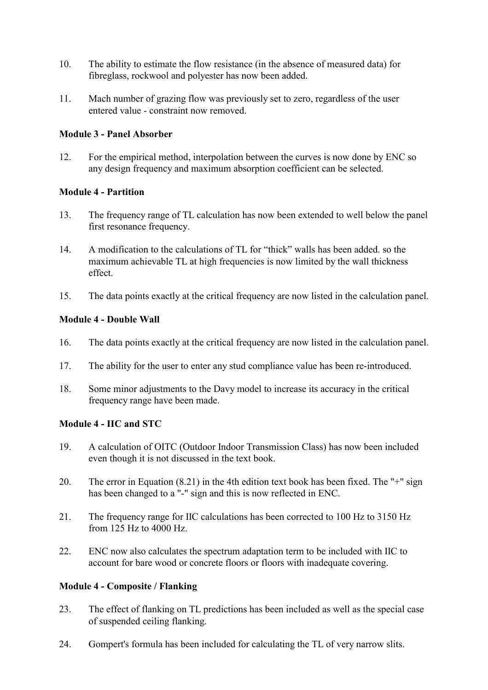- 10. The ability to estimate the flow resistance (in the absence of measured data) for fibreglass, rockwool and polyester has now been added.
- 11. Mach number of grazing flow was previously set to zero, regardless of the user entered value - constraint now removed.

# **Module 3 - Panel Absorber**

12. For the empirical method, interpolation between the curves is now done by ENC so any design frequency and maximum absorption coefficient can be selected.

# **Module 4 - Partition**

- 13. The frequency range of TL calculation has now been extended to well below the panel first resonance frequency.
- 14. A modification to the calculations of TL for "thick" walls has been added. so the maximum achievable TL at high frequencies is now limited by the wall thickness effect.
- 15. The data points exactly at the critical frequency are now listed in the calculation panel.

# **Module 4 - Double Wall**

- 16. The data points exactly at the critical frequency are now listed in the calculation panel.
- 17. The ability for the user to enter any stud compliance value has been re-introduced.
- 18. Some minor adjustments to the Davy model to increase its accuracy in the critical frequency range have been made.

# **Module 4 - IIC and STC**

- 19. A calculation of OITC (Outdoor Indoor Transmission Class) has now been included even though it is not discussed in the text book.
- 20. The error in Equation (8.21) in the 4th edition text book has been fixed. The "+" sign has been changed to a "-" sign and this is now reflected in ENC.
- 21. The frequency range for IIC calculations has been corrected to 100 Hz to 3150 Hz from 125 Hz to 4000 Hz.
- 22. ENC now also calculates the spectrum adaptation term to be included with IIC to account for bare wood or concrete floors or floors with inadequate covering.

# **Module 4 - Composite / Flanking**

- 23. The effect of flanking on TL predictions has been included as well as the special case of suspended ceiling flanking.
- 24. Gompert's formula has been included for calculating the TL of very narrow slits.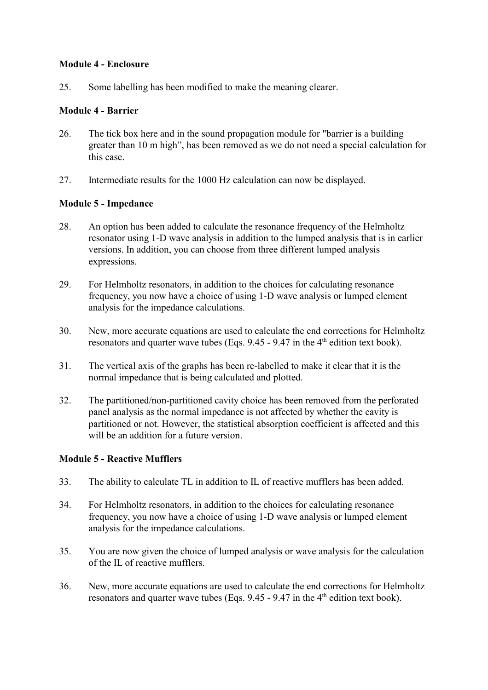#### **Module 4 - Enclosure**

25. Some labelling has been modified to make the meaning clearer.

# **Module 4 - Barrier**

- 26. The tick box here and in the sound propagation module for "barrier is a building greater than 10 m high", has been removed as we do not need a special calculation for this case.
- 27. Intermediate results for the 1000 Hz calculation can now be displayed.

# **Module 5 - Impedance**

- 28. An option has been added to calculate the resonance frequency of the Helmholtz resonator using 1-D wave analysis in addition to the lumped analysis that is in earlier versions. In addition, you can choose from three different lumped analysis expressions.
- 29. For Helmholtz resonators, in addition to the choices for calculating resonance frequency, you now have a choice of using 1-D wave analysis or lumped element analysis for the impedance calculations.
- 30. New, more accurate equations are used to calculate the end corrections for Helmholtz resonators and quarter wave tubes (Eqs.  $9.45 - 9.47$  in the 4<sup>th</sup> edition text book).
- 31. The vertical axis of the graphs has been re-labelled to make it clear that it is the normal impedance that is being calculated and plotted.
- 32. The partitioned/non-partitioned cavity choice has been removed from the perforated panel analysis as the normal impedance is not affected by whether the cavity is partitioned or not. However, the statistical absorption coefficient is affected and this will be an addition for a future version.

# **Module 5 - Reactive Mufflers**

- 33. The ability to calculate TL in addition to IL of reactive mufflers has been added.
- 34. For Helmholtz resonators, in addition to the choices for calculating resonance frequency, you now have a choice of using 1-D wave analysis or lumped element analysis for the impedance calculations.
- 35. You are now given the choice of lumped analysis or wave analysis for the calculation of the IL of reactive mufflers.
- 36. New, more accurate equations are used to calculate the end corrections for Helmholtz resonators and quarter wave tubes (Eqs.  $9.45 - 9.47$  in the  $4<sup>th</sup>$  edition text book).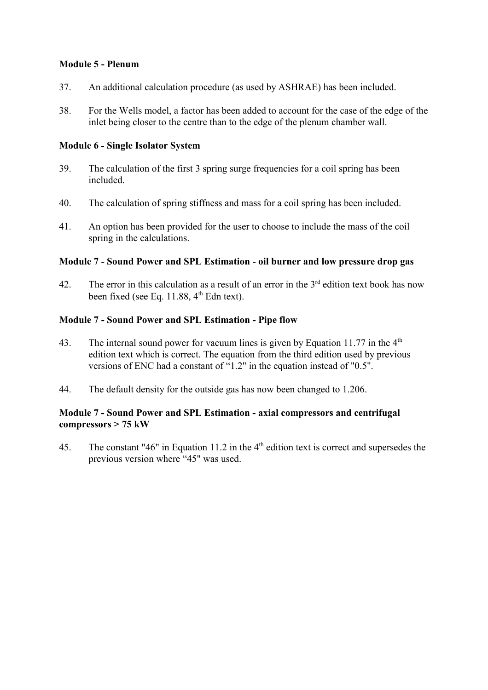#### **Module 5 - Plenum**

- 37. An additional calculation procedure (as used by ASHRAE) has been included.
- 38. For the Wells model, a factor has been added to account for the case of the edge of the inlet being closer to the centre than to the edge of the plenum chamber wall.

#### **Module 6 - Single Isolator System**

- 39. The calculation of the first 3 spring surge frequencies for a coil spring has been included.
- 40. The calculation of spring stiffness and mass for a coil spring has been included.
- 41. An option has been provided for the user to choose to include the mass of the coil spring in the calculations.

#### **Module 7 - Sound Power and SPL Estimation - oil burner and low pressure drop gas**

42. The error in this calculation as a result of an error in the  $3<sup>rd</sup>$  edition text book has now been fixed (see Eq. 11.88,  $4<sup>th</sup>$  Edn text).

#### **Module 7 - Sound Power and SPL Estimation - Pipe flow**

- 43. The internal sound power for vacuum lines is given by Equation 11.77 in the  $4<sup>th</sup>$ edition text which is correct. The equation from the third edition used by previous versions of ENC had a constant of "1.2" in the equation instead of "0.5".
- 44. The default density for the outside gas has now been changed to 1.206.

# **Module 7 - Sound Power and SPL Estimation - axial compressors and centrifugal compressors > 75 kW**

45. The constant "46" in Equation 11.2 in the 4<sup>th</sup> edition text is correct and supersedes the previous version where "45" was used.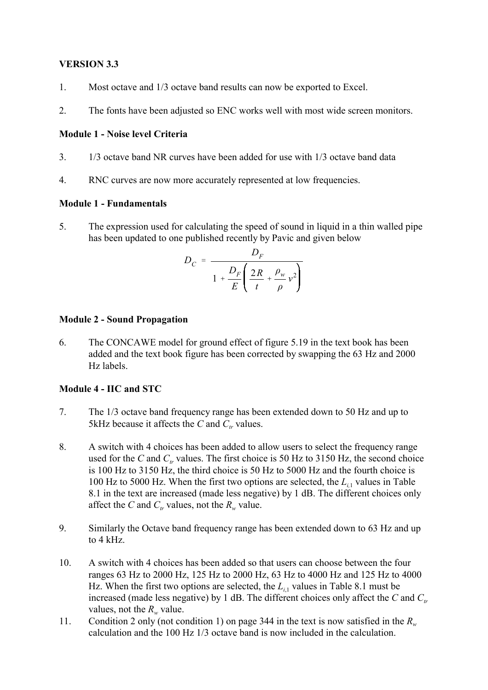# **VERSION 3.3**

- 1. Most octave and 1/3 octave band results can now be exported to Excel.
- 2. The fonts have been adjusted so ENC works well with most wide screen monitors.

# **Module 1 - Noise level Criteria**

- 3. 1/3 octave band NR curves have been added for use with 1/3 octave band data
- 4. RNC curves are now more accurately represented at low frequencies.

# **Module 1 - Fundamentals**

5. The expression used for calculating the speed of sound in liquid in a thin walled pipe has been updated to one published recently by Pavic and given below

$$
D_C = \frac{D_F}{1 + \frac{D_F}{E} \left( \frac{2R}{t} + \frac{\rho_w}{\rho} v^2 \right)}
$$

# **Module 2 - Sound Propagation**

6. The CONCAWE model for ground effect of figure 5.19 in the text book has been added and the text book figure has been corrected by swapping the 63 Hz and 2000 Hz labels.

# **Module 4 - IIC and STC**

- 7. The 1/3 octave band frequency range has been extended down to 50 Hz and up to 5kHz because it affects the *C* and  $C_t$  values.
- 8. A switch with 4 choices has been added to allow users to select the frequency range used for the *C* and  $C_t$  values. The first choice is 50 Hz to 3150 Hz, the second choice is 100 Hz to 3150 Hz, the third choice is 50 Hz to 5000 Hz and the fourth choice is 100 Hz to 5000 Hz. When the first two options are selected, the  $L_{i1}$  values in Table 8.1 in the text are increased (made less negative) by 1 dB. The different choices only affect the *C* and  $C_t$  values, not the  $R_w$  value.
- 9. Similarly the Octave band frequency range has been extended down to 63 Hz and up to 4 kHz.
- 10. A switch with 4 choices has been added so that users can choose between the four ranges 63 Hz to 2000 Hz, 125 Hz to 2000 Hz, 63 Hz to 4000 Hz and 125 Hz to 4000 Hz. When the first two options are selected, the  $L_{i1}$  values in Table 8.1 must be increased (made less negative) by 1 dB. The different choices only affect the *C* and  $C<sub>r</sub>$ values, not the  $R_w$  value.
- 11. Condition 2 only (not condition 1) on page 344 in the text is now satisfied in the  $R_w$ calculation and the 100 Hz 1/3 octave band is now included in the calculation.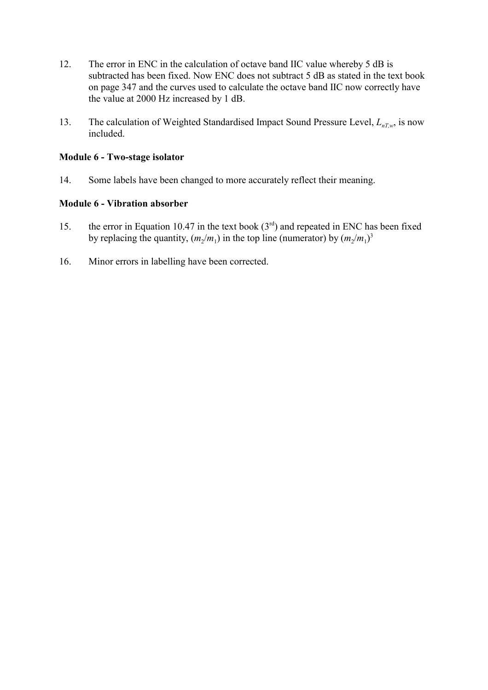- 12. The error in ENC in the calculation of octave band IIC value whereby 5 dB is subtracted has been fixed. Now ENC does not subtract 5 dB as stated in the text book on page 347 and the curves used to calculate the octave band IIC now correctly have the value at 2000 Hz increased by 1 dB.
- 13. The calculation of Weighted Standardised Impact Sound Pressure Level,  $L_{nTw}$  is now included.

#### **Module 6 - Two-stage isolator**

14. Some labels have been changed to more accurately reflect their meaning.

# **Module 6 - Vibration absorber**

- 15. the error in Equation 10.47 in the text book  $(3<sup>rd</sup>)$  and repeated in ENC has been fixed by replacing the quantity,  $(m_2/m_1)$  in the top line (numerator) by  $(m_2/m_1)^3$
- 16. Minor errors in labelling have been corrected.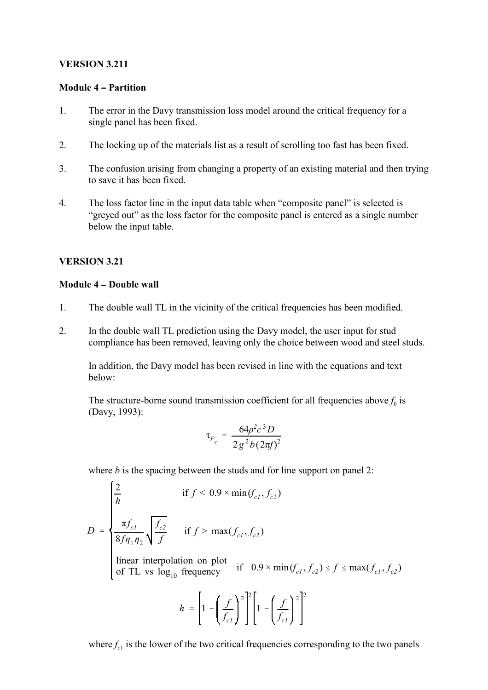#### **VERSION 3.211**

#### **Module 4 – Partition**

- 1. The error in the Davy transmission loss model around the critical frequency for a single panel has been fixed.
- 2. The locking up of the materials list as a result of scrolling too fast has been fixed.
- 3. The confusion arising from changing a property of an existing material and then trying to save it has been fixed.
- 4. The loss factor line in the input data table when "composite panel" is selected is "greyed out" as the loss factor for the composite panel is entered as a single number below the input table.

# **VERSION 3.21**

#### **Module 4 - Double wall**

- 1. The double wall TL in the vicinity of the critical frequencies has been modified.
- 2. In the double wall TL prediction using the Davy model, the user input for stud compliance has been removed, leaving only the choice between wood and steel studs.

In addition, the Davy model has been revised in line with the equations and text below:

The structure-borne sound transmission coefficient for all frequencies above  $f_0$  is (Davy, 1993):

$$
\tau_{F_c} = \frac{64\rho^2 c^3 D}{2g^2 b (2\pi f)^2}
$$

where *b* is the spacing between the studs and for line support on panel 2:

$$
D = \begin{cases} \frac{2}{h} & \text{if } f < 0.9 \times \min(f_{c1}, f_{c2}) \\ \frac{\pi f_{c1}}{8f \eta_1 \eta_2} \sqrt{\frac{f_{c2}}{f}} & \text{if } f > \max(f_{c1}, f_{c2}) \\ \text{linear interpolation on plot} \\ \text{of TL vs } \log_{10} \text{ frequency} & \text{if } 0.9 \times \min(f_{c1}, f_{c2}) \le f \le \max(f_{c1}, f_{c2}) \\ h & = \left[1 - \left(\frac{f}{f_{c1}}\right)^2\right]^2 \left[1 - \left(\frac{f}{f_{c1}}\right)^2\right]^2 \end{cases}
$$

where  $f_c$ <sup>1</sup> is the lower of the two critical frequencies corresponding to the two panels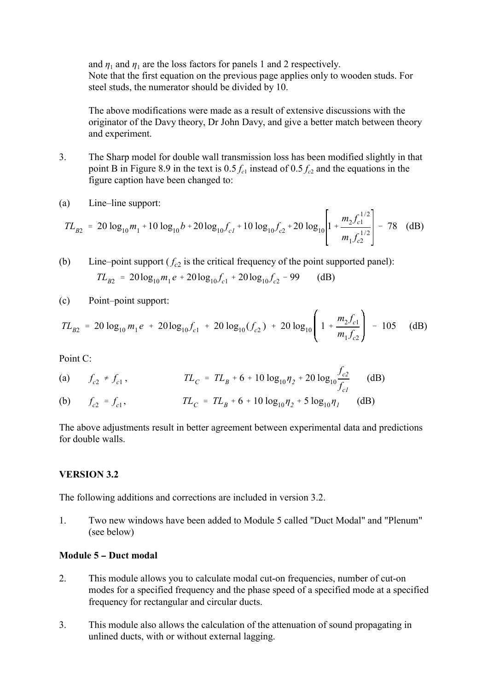and  $\eta_1$  and  $\eta_1$  are the loss factors for panels 1 and 2 respectively. Note that the first equation on the previous page applies only to wooden studs. For steel studs, the numerator should be divided by 10.

The above modifications were made as a result of extensive discussions with the originator of the Davy theory, Dr John Davy, and give a better match between theory and experiment.

- 3. The Sharp model for double wall transmission loss has been modified slightly in that point B in Figure 8.9 in the text is  $0.5 f_{c1}$  instead of  $0.5 f_{c2}$  and the equations in the figure caption have been changed to:
- (a) Line–line support:

$$
TL_{B2} = 20 \log_{10} m_1 + 10 \log_{10} b + 20 \log_{10} f_{c1} + 10 \log_{10} f_{c2} + 20 \log_{10} \left[ 1 + \frac{m_2 f_{c1}^{1/2}}{m_1 f_{c2}^{1/2}} \right] - 78 \quad (dB)
$$

 $TL_{B2} = 20 \log_{10} m_1 e + 20 \log_{10} f_{c1} + 20 \log_{10} f_{c2} - 99$  (dB) (b) Line–point support  $(f_{c2})$  is the critical frequency of the point supported panel):

(c) Point–point support:

$$
TL_{B2} = 20 \log_{10} m_1 e + 20 \log_{10} f_{c1} + 20 \log_{10} (f_{c2}) + 20 \log_{10} \left( 1 + \frac{m_2 f_{c1}}{m_1 f_{c2}} \right) - 105 \quad (dB)
$$

Point C:

(a) 
$$
f_{c2} \neq f_{c1}
$$
,  $TL_C = TL_B + 6 + 10 \log_{10} \eta_2 + 20 \log_{10} \frac{f_{c2}}{f_{c1}}$  (dB)

(b)  $f_{c2} = f$  $TL_c = TL_B + 6 + 10 \log_{10} \eta_2 + 5 \log_{10} \eta_1$  (dB)

The above adjustments result in better agreement between experimental data and predictions for double walls.

# **VERSION 3.2**

The following additions and corrections are included in version 3.2.

1. Two new windows have been added to Module 5 called "Duct Modal" and "Plenum" (see below)

# **Module 5 - Duct modal**

- 2. This module allows you to calculate modal cut-on frequencies, number of cut-on modes for a specified frequency and the phase speed of a specified mode at a specified frequency for rectangular and circular ducts.
- 3. This module also allows the calculation of the attenuation of sound propagating in unlined ducts, with or without external lagging.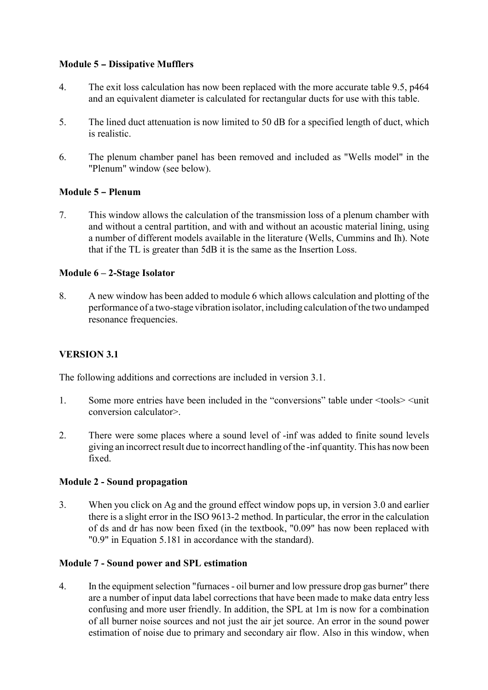# **Module 5 - Dissipative Mufflers**

- 4. The exit loss calculation has now been replaced with the more accurate table 9.5, p464 and an equivalent diameter is calculated for rectangular ducts for use with this table.
- 5. The lined duct attenuation is now limited to 50 dB for a specified length of duct, which is realistic.
- 6. The plenum chamber panel has been removed and included as "Wells model" in the "Plenum" window (see below).

# **Module 5 - Plenum**

7. This window allows the calculation of the transmission loss of a plenum chamber with and without a central partition, and with and without an acoustic material lining, using a number of different models available in the literature (Wells, Cummins and Ih). Note that if the TL is greater than 5dB it is the same as the Insertion Loss.

# **Module 6 – 2-Stage Isolator**

8. A new window has been added to module 6 which allows calculation and plotting of the performance of a two-stage vibration isolator, including calculation of the two undamped resonance frequencies.

# **VERSION 3.1**

The following additions and corrections are included in version 3.1.

- 1. Some more entries have been included in the "conversions" table under  $\leq$  tools $\geq$   $\leq$  unit conversion calculator>.
- 2. There were some places where a sound level of -inf was added to finite sound levels giving an incorrect result due to incorrect handling of the -inf quantity. This has now been fixed.

# **Module 2 - Sound propagation**

3. When you click on Ag and the ground effect window pops up, in version 3.0 and earlier there is a slight error in the ISO 9613-2 method. In particular, the error in the calculation of ds and dr has now been fixed (in the textbook, "0.09" has now been replaced with "0.9" in Equation 5.181 in accordance with the standard).

# **Module 7 - Sound power and SPL estimation**

4. In the equipment selection "furnaces - oil burner and low pressure drop gas burner" there are a number of input data label corrections that have been made to make data entry less confusing and more user friendly. In addition, the SPL at 1m is now for a combination of all burner noise sources and not just the air jet source. An error in the sound power estimation of noise due to primary and secondary air flow. Also in this window, when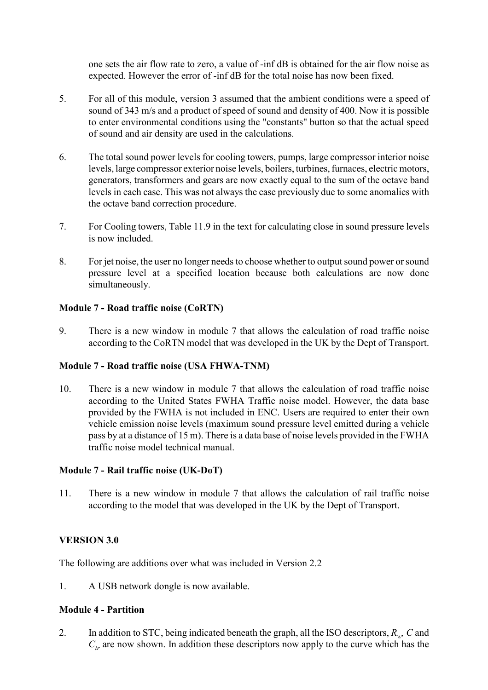one sets the air flow rate to zero, a value of -inf dB is obtained for the air flow noise as expected. However the error of -inf dB for the total noise has now been fixed.

- 5. For all of this module, version 3 assumed that the ambient conditions were a speed of sound of 343 m/s and a product of speed of sound and density of 400. Now it is possible to enter environmental conditions using the "constants" button so that the actual speed of sound and air density are used in the calculations.
- 6. The total sound power levels for cooling towers, pumps, large compressor interior noise levels, large compressor exterior noise levels, boilers, turbines, furnaces, electric motors, generators, transformers and gears are now exactly equal to the sum of the octave band levels in each case. This was not always the case previously due to some anomalies with the octave band correction procedure.
- 7. For Cooling towers, Table 11.9 in the text for calculating close in sound pressure levels is now included.
- 8. For jet noise, the user no longer needs to choose whether to output sound power or sound pressure level at a specified location because both calculations are now done simultaneously.

# **Module 7 - Road traffic noise (CoRTN)**

9. There is a new window in module 7 that allows the calculation of road traffic noise according to the CoRTN model that was developed in the UK by the Dept of Transport.

# **Module 7 - Road traffic noise (USA FHWA-TNM)**

10. There is a new window in module 7 that allows the calculation of road traffic noise according to the United States FWHA Traffic noise model. However, the data base provided by the FWHA is not included in ENC. Users are required to enter their own vehicle emission noise levels (maximum sound pressure level emitted during a vehicle pass by at a distance of 15 m). There is a data base of noise levels provided in the FWHA traffic noise model technical manual.

# **Module 7 - Rail traffic noise (UK-DoT)**

11. There is a new window in module 7 that allows the calculation of rail traffic noise according to the model that was developed in the UK by the Dept of Transport.

# **VERSION 3.0**

The following are additions over what was included in Version 2.2

1. A USB network dongle is now available.

# **Module 4 - Partition**

2. In addition to STC, being indicated beneath the graph, all the ISO descriptors, *Rw, C* and  $C_t$  are now shown. In addition these descriptors now apply to the curve which has the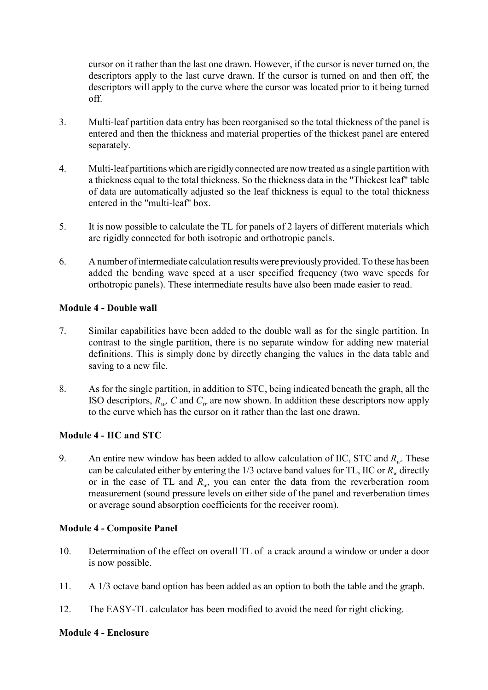cursor on it rather than the last one drawn. However, if the cursor is never turned on, the descriptors apply to the last curve drawn. If the cursor is turned on and then off, the descriptors will apply to the curve where the cursor was located prior to it being turned off.

- 3. Multi-leaf partition data entry has been reorganised so the total thickness of the panel is entered and then the thickness and material properties of the thickest panel are entered separately.
- 4. Multi-leaf partitions which are rigidly connected are now treated as a single partition with a thickness equal to the total thickness. So the thickness data in the "Thickest leaf" table of data are automatically adjusted so the leaf thickness is equal to the total thickness entered in the "multi-leaf" box.
- 5. It is now possible to calculate the TL for panels of 2 layers of different materials which are rigidly connected for both isotropic and orthotropic panels.
- 6. A number of intermediate calculation results were previously provided. To these has been added the bending wave speed at a user specified frequency (two wave speeds for orthotropic panels). These intermediate results have also been made easier to read.

# **Module 4 - Double wall**

- 7. Similar capabilities have been added to the double wall as for the single partition. In contrast to the single partition, there is no separate window for adding new material definitions. This is simply done by directly changing the values in the data table and saving to a new file.
- 8. As for the single partition, in addition to STC, being indicated beneath the graph, all the ISO descriptors,  $R_{w}$ , C and  $C_{tr}$  are now shown. In addition these descriptors now apply to the curve which has the cursor on it rather than the last one drawn.

# **Module 4 - IIC and STC**

9. An entire new window has been added to allow calculation of IIC, STC and *Rw*. These can be calculated either by entering the  $1/3$  octave band values for TL, IIC or  $R<sub>w</sub>$  directly or in the case of TL and *Rw*, you can enter the data from the reverberation room measurement (sound pressure levels on either side of the panel and reverberation times or average sound absorption coefficients for the receiver room).

# **Module 4 - Composite Panel**

- 10. Determination of the effect on overall TL of a crack around a window or under a door is now possible.
- 11. A 1/3 octave band option has been added as an option to both the table and the graph.
- 12. The EASY-TL calculator has been modified to avoid the need for right clicking.

#### **Module 4 - Enclosure**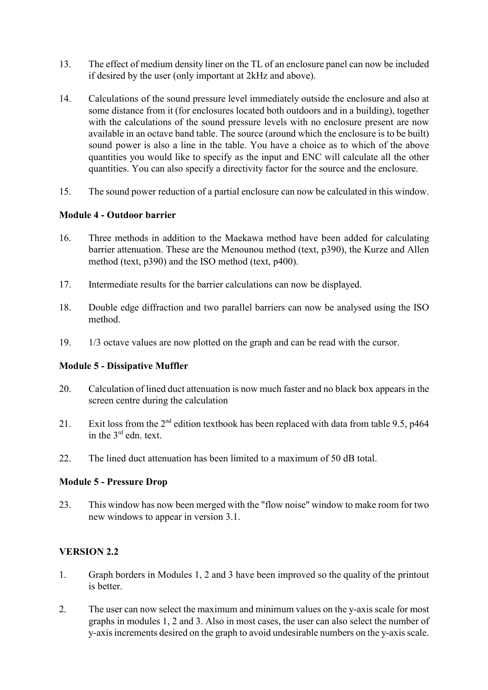- 13. The effect of medium density liner on the TL of an enclosure panel can now be included if desired by the user (only important at 2kHz and above).
- 14. Calculations of the sound pressure level immediately outside the enclosure and also at some distance from it (for enclosures located both outdoors and in a building), together with the calculations of the sound pressure levels with no enclosure present are now available in an octave band table. The source (around which the enclosure is to be built) sound power is also a line in the table. You have a choice as to which of the above quantities you would like to specify as the input and ENC will calculate all the other quantities. You can also specify a directivity factor for the source and the enclosure.
- 15. The sound power reduction of a partial enclosure can now be calculated in this window.

# **Module 4 - Outdoor barrier**

- 16. Three methods in addition to the Maekawa method have been added for calculating barrier attenuation. These are the Menounou method (text, p390), the Kurze and Allen method (text, p390) and the ISO method (text, p400).
- 17. Intermediate results for the barrier calculations can now be displayed.
- 18. Double edge diffraction and two parallel barriers can now be analysed using the ISO method.
- 19. 1/3 octave values are now plotted on the graph and can be read with the cursor.

# **Module 5 - Dissipative Muffler**

- 20. Calculation of lined duct attenuation is now much faster and no black box appears in the screen centre during the calculation
- 21. Exit loss from the  $2<sup>nd</sup>$  edition textbook has been replaced with data from table 9.5, p464 in the 3rd edn. text.
- 22. The lined duct attenuation has been limited to a maximum of 50 dB total.

#### **Module 5 - Pressure Drop**

23. This window has now been merged with the "flow noise" window to make room for two new windows to appear in version 3.1.

# **VERSION 2.2**

- 1. Graph borders in Modules 1, 2 and 3 have been improved so the quality of the printout is better.
- 2. The user can now select the maximum and minimum values on the y-axis scale for most graphs in modules 1, 2 and 3. Also in most cases, the user can also select the number of y-axis increments desired on the graph to avoid undesirable numbers on the y-axis scale.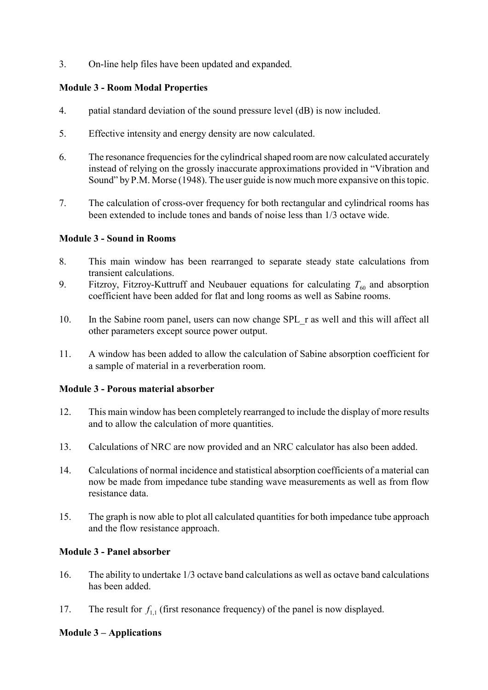3. On-line help files have been updated and expanded.

# **Module 3 - Room Modal Properties**

- 4. patial standard deviation of the sound pressure level (dB) is now included.
- 5. Effective intensity and energy density are now calculated.
- 6. The resonance frequencies for the cylindrical shaped room are now calculated accurately instead of relying on the grossly inaccurate approximations provided in "Vibration and Sound" by P.M. Morse (1948). The user guide is now much more expansive on this topic.
- 7. The calculation of cross-over frequency for both rectangular and cylindrical rooms has been extended to include tones and bands of noise less than 1/3 octave wide.

# **Module 3 - Sound in Rooms**

- 8. This main window has been rearranged to separate steady state calculations from transient calculations.
- 9. Fitzroy, Fitzroy-Kuttruff and Neubauer equations for calculating  $T_{60}$  and absorption coefficient have been added for flat and long rooms as well as Sabine rooms.
- 10. In the Sabine room panel, users can now change SPL\_r as well and this will affect all other parameters except source power output.
- 11. A window has been added to allow the calculation of Sabine absorption coefficient for a sample of material in a reverberation room.

# **Module 3 - Porous material absorber**

- 12. This main window has been completely rearranged to include the display of more results and to allow the calculation of more quantities.
- 13. Calculations of NRC are now provided and an NRC calculator has also been added.
- 14. Calculations of normal incidence and statistical absorption coefficients of a material can now be made from impedance tube standing wave measurements as well as from flow resistance data.
- 15. The graph is now able to plot all calculated quantities for both impedance tube approach and the flow resistance approach.

# **Module 3 - Panel absorber**

- 16. The ability to undertake 1/3 octave band calculations as well as octave band calculations has been added.
- 17. The result for  $f_{1,1}$  (first resonance frequency) of the panel is now displayed.

# **Module 3 – Applications**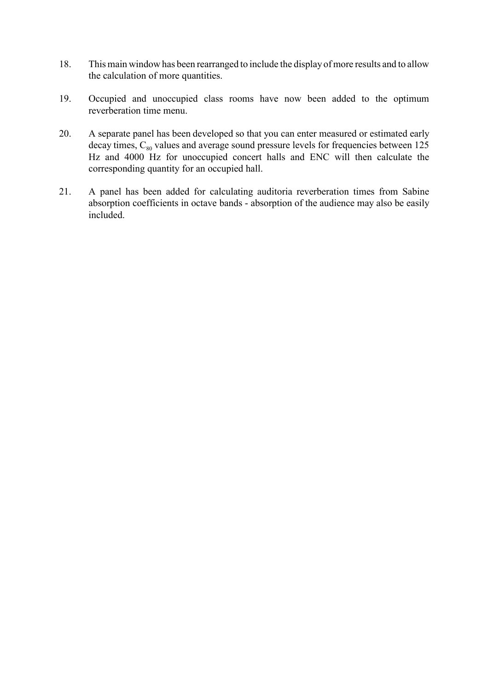- 18. This main window has been rearranged to include the display of more results and to allow the calculation of more quantities.
- 19. Occupied and unoccupied class rooms have now been added to the optimum reverberation time menu.
- 20. A separate panel has been developed so that you can enter measured or estimated early decay times,  $C_{80}$  values and average sound pressure levels for frequencies between 125 Hz and 4000 Hz for unoccupied concert halls and ENC will then calculate the corresponding quantity for an occupied hall.
- 21. A panel has been added for calculating auditoria reverberation times from Sabine absorption coefficients in octave bands - absorption of the audience may also be easily included.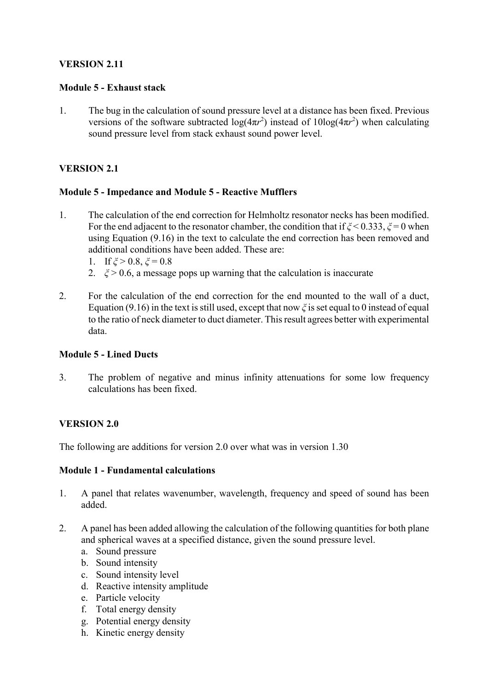# **VERSION 2.11**

#### **Module 5 - Exhaust stack**

1. The bug in the calculation of sound pressure level at a distance has been fixed. Previous versions of the software subtracted  $log(4\pi r^2)$  instead of  $10log(4\pi r^2)$  when calculating sound pressure level from stack exhaust sound power level.

# **VERSION 2.1**

# **Module 5 - Impedance and Module 5 - Reactive Mufflers**

- 1. The calculation of the end correction for Helmholtz resonator necks has been modified. For the end adjacent to the resonator chamber, the condition that if *ξ* < 0.333, *ξ* = 0 when using Equation (9.16) in the text to calculate the end correction has been removed and additional conditions have been added. These are:
	- 1. If  $\xi > 0.8$ ,  $\xi = 0.8$
	- 2.  $\zeta > 0.6$ , a message pops up warning that the calculation is inaccurate
- 2. For the calculation of the end correction for the end mounted to the wall of a duct, Equation (9.16) in the text is still used, except that now *ξ* is set equal to 0 instead of equal to the ratio of neck diameter to duct diameter. This result agrees better with experimental data.

# **Module 5 - Lined Ducts**

3. The problem of negative and minus infinity attenuations for some low frequency calculations has been fixed.

# **VERSION 2.0**

The following are additions for version 2.0 over what was in version 1.30

# **Module 1 - Fundamental calculations**

- 1. A panel that relates wavenumber, wavelength, frequency and speed of sound has been added.
- 2. A panel has been added allowing the calculation of the following quantities for both plane and spherical waves at a specified distance, given the sound pressure level.
	- a. Sound pressure
	- b. Sound intensity
	- c. Sound intensity level
	- d. Reactive intensity amplitude
	- e. Particle velocity
	- f. Total energy density
	- g. Potential energy density
	- h. Kinetic energy density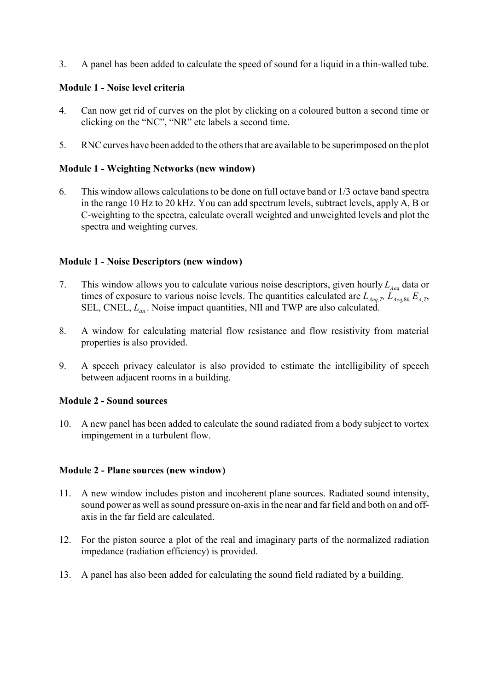3. A panel has been added to calculate the speed of sound for a liquid in a thin-walled tube.

# **Module 1 - Noise level criteria**

- 4. Can now get rid of curves on the plot by clicking on a coloured button a second time or clicking on the "NC", "NR" etc labels a second time.
- 5. RNC curves have been added to the others that are available to be superimposed on the plot

# **Module 1 - Weighting Networks (new window)**

6. This window allows calculations to be done on full octave band or 1/3 octave band spectra in the range 10 Hz to 20 kHz. You can add spectrum levels, subtract levels, apply A, B or C-weighting to the spectra, calculate overall weighted and unweighted levels and plot the spectra and weighting curves.

# **Module 1 - Noise Descriptors (new window)**

- 7. This window allows you to calculate various noise descriptors, given hourly  $L_{Aeq}$  data or times of exposure to various noise levels. The quantities calculated are  $L_{Aeq, D}$ ,  $L_{Aeq, 8h}$ ,  $E_{A,T}$ , SEL, CNEL,  $L_{dn}$ . Noise impact quantities, NII and TWP are also calculated.
- 8. A window for calculating material flow resistance and flow resistivity from material properties is also provided.
- 9. A speech privacy calculator is also provided to estimate the intelligibility of speech between adjacent rooms in a building.

# **Module 2 - Sound sources**

10. A new panel has been added to calculate the sound radiated from a body subject to vortex impingement in a turbulent flow.

# **Module 2 - Plane sources (new window)**

- 11. A new window includes piston and incoherent plane sources. Radiated sound intensity, sound power as well as sound pressure on-axis in the near and far field and both on and offaxis in the far field are calculated.
- 12. For the piston source a plot of the real and imaginary parts of the normalized radiation impedance (radiation efficiency) is provided.
- 13. A panel has also been added for calculating the sound field radiated by a building.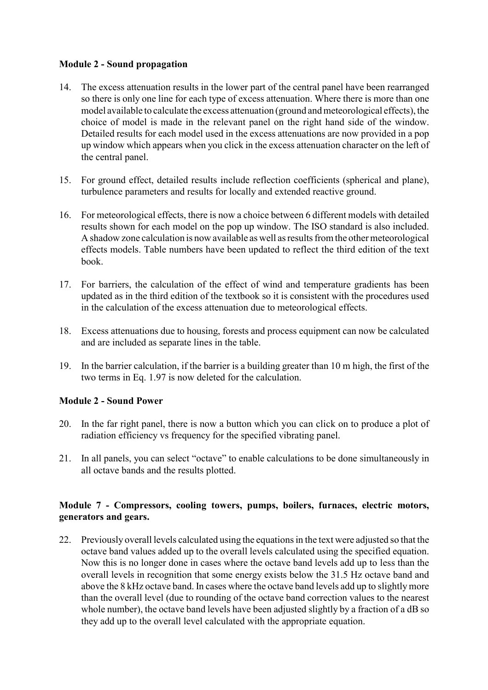# **Module 2 - Sound propagation**

- 14. The excess attenuation results in the lower part of the central panel have been rearranged so there is only one line for each type of excess attenuation. Where there is more than one model available to calculate the excess attenuation (ground and meteorological effects), the choice of model is made in the relevant panel on the right hand side of the window. Detailed results for each model used in the excess attenuations are now provided in a pop up window which appears when you click in the excess attenuation character on the left of the central panel.
- 15. For ground effect, detailed results include reflection coefficients (spherical and plane), turbulence parameters and results for locally and extended reactive ground.
- 16. For meteorological effects, there is now a choice between 6 different models with detailed results shown for each model on the pop up window. The ISO standard is also included. A shadow zone calculation is now available as well as results from the other meteorological effects models. Table numbers have been updated to reflect the third edition of the text book.
- 17. For barriers, the calculation of the effect of wind and temperature gradients has been updated as in the third edition of the textbook so it is consistent with the procedures used in the calculation of the excess attenuation due to meteorological effects.
- 18. Excess attenuations due to housing, forests and process equipment can now be calculated and are included as separate lines in the table.
- 19. In the barrier calculation, if the barrier is a building greater than 10 m high, the first of the two terms in Eq. 1.97 is now deleted for the calculation.

# **Module 2 - Sound Power**

- 20. In the far right panel, there is now a button which you can click on to produce a plot of radiation efficiency vs frequency for the specified vibrating panel.
- 21. In all panels, you can select "octave" to enable calculations to be done simultaneously in all octave bands and the results plotted.

# **Module 7 - Compressors, cooling towers, pumps, boilers, furnaces, electric motors, generators and gears.**

22. Previously overall levels calculated using the equations in the text were adjusted so that the octave band values added up to the overall levels calculated using the specified equation. Now this is no longer done in cases where the octave band levels add up to less than the overall levels in recognition that some energy exists below the 31.5 Hz octave band and above the 8 kHz octave band. In cases where the octave band levels add up to slightly more than the overall level (due to rounding of the octave band correction values to the nearest whole number), the octave band levels have been adjusted slightly by a fraction of a dB so they add up to the overall level calculated with the appropriate equation.